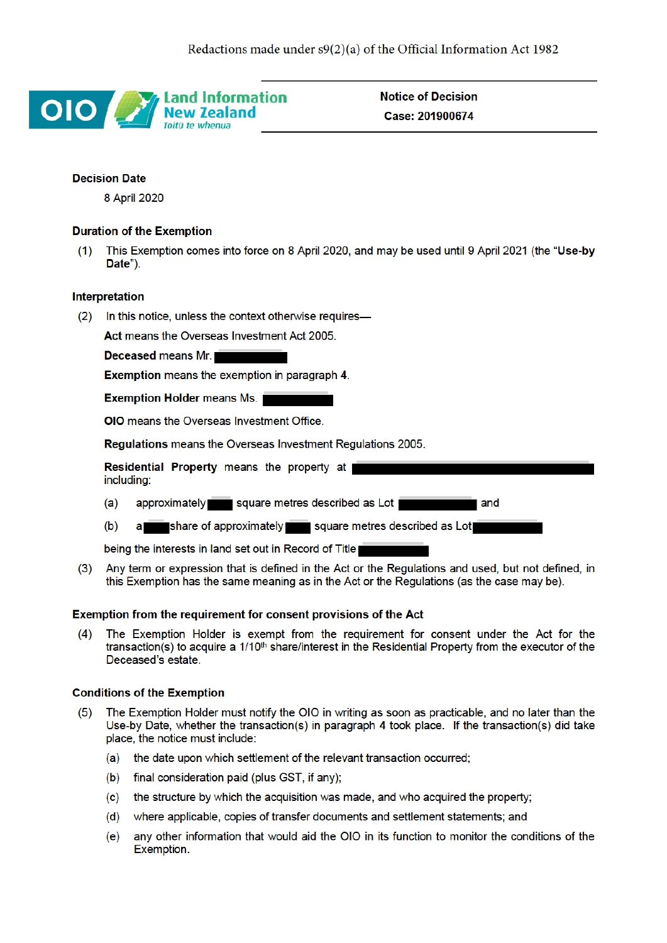

**Notice of Decision** Case: 201900674

# **Decision Date**

8 April 2020

# **Duration of the Exemption**

This Exemption comes into force on 8 April 2020, and may be used until 9 April 2021 (the "Use-by  $(1)$ Date").

## **Interpretation**

In this notice, unless the context otherwise requires- $(2)$ 

Act means the Overseas Investment Act 2005.

Deceased means Mr.

**Exemption means the exemption in paragraph 4.** 

**Exemption Holder means Ms.** 

**OIO** means the Overseas Investment Office.

**Regulations** means the Overseas Investment Regulations 2005.

|            | Residential Property means the property at a |  |  |                                |  |     |  |
|------------|----------------------------------------------|--|--|--------------------------------|--|-----|--|
| including: |                                              |  |  |                                |  |     |  |
| (a)        | approximately                                |  |  | square metres described as Lot |  | and |  |

a share of approximately square metres described as Lot  $(b)$ 

being the interests in land set out in Record of Title

Any term or expression that is defined in the Act or the Regulations and used, but not defined, in  $(3)$ this Exemption has the same meaning as in the Act or the Regulations (as the case may be).

## Exemption from the requirement for consent provisions of the Act

The Exemption Holder is exempt from the requirement for consent under the Act for the  $(4)$ transaction(s) to acquire a 1/10<sup>th</sup> share/interest in the Residential Property from the executor of the Deceased's estate.

## **Conditions of the Exemption**

- The Exemption Holder must notify the OIO in writing as soon as practicable, and no later than the  $(5)$ Use-by Date, whether the transaction(s) in paragraph 4 took place. If the transaction(s) did take place, the notice must include:
	- (a) the date upon which settlement of the relevant transaction occurred;
	- $(b)$ final consideration paid (plus GST, if any);
	- the structure by which the acquisition was made, and who acquired the property;  $(c)$
	- (d) where applicable, copies of transfer documents and settlement statements; and
	- any other information that would aid the OIO in its function to monitor the conditions of the (e) Exemption.